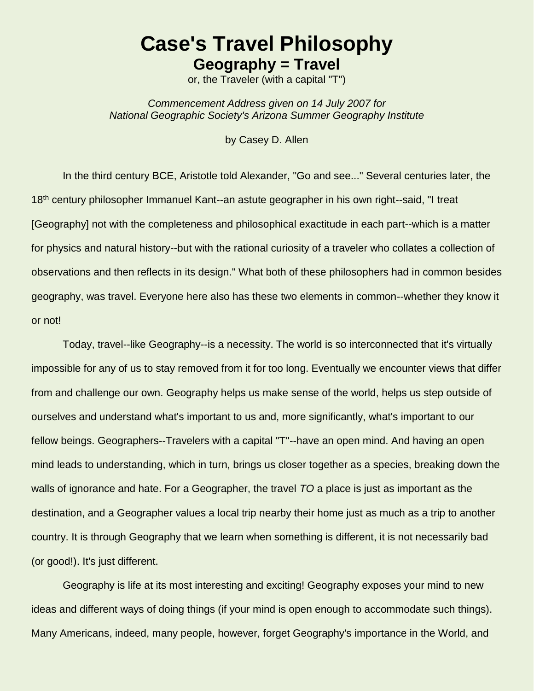## **Case's Travel Philosophy Geography = Travel**

or, the Traveler (with a capital "T")

*Commencement Address given on 14 July 2007 for National Geographic Society's Arizona Summer Geography Institute*

by Casey D. Allen

In the third century BCE, Aristotle told Alexander, "Go and see..." Several centuries later, the 18<sup>th</sup> century philosopher Immanuel Kant--an astute geographer in his own right--said, "I treat [Geography] not with the completeness and philosophical exactitude in each part--which is a matter for physics and natural history--but with the rational curiosity of a traveler who collates a collection of observations and then reflects in its design." What both of these philosophers had in common besides geography, was travel. Everyone here also has these two elements in common--whether they know it or not!

Today, travel--like Geography--is a necessity. The world is so interconnected that it's virtually impossible for any of us to stay removed from it for too long. Eventually we encounter views that differ from and challenge our own. Geography helps us make sense of the world, helps us step outside of ourselves and understand what's important to us and, more significantly, what's important to our fellow beings. Geographers--Travelers with a capital "T"--have an open mind. And having an open mind leads to understanding, which in turn, brings us closer together as a species, breaking down the walls of ignorance and hate. For a Geographer, the travel *TO* a place is just as important as the destination, and a Geographer values a local trip nearby their home just as much as a trip to another country. It is through Geography that we learn when something is different, it is not necessarily bad (or good!). It's just different.

Geography is life at its most interesting and exciting! Geography exposes your mind to new ideas and different ways of doing things (if your mind is open enough to accommodate such things). Many Americans, indeed, many people, however, forget Geography's importance in the World, and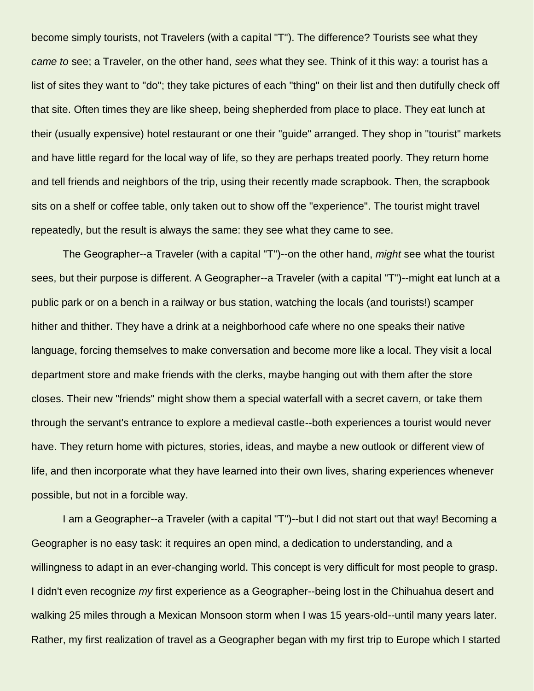become simply tourists, not Travelers (with a capital "T"). The difference? Tourists see what they *came to* see; a Traveler, on the other hand, *sees* what they see. Think of it this way: a tourist has a list of sites they want to "do"; they take pictures of each "thing" on their list and then dutifully check off that site. Often times they are like sheep, being shepherded from place to place. They eat lunch at their (usually expensive) hotel restaurant or one their "guide" arranged. They shop in "tourist" markets and have little regard for the local way of life, so they are perhaps treated poorly. They return home and tell friends and neighbors of the trip, using their recently made scrapbook. Then, the scrapbook sits on a shelf or coffee table, only taken out to show off the "experience". The tourist might travel repeatedly, but the result is always the same: they see what they came to see.

The Geographer--a Traveler (with a capital "T")--on the other hand, *might* see what the tourist sees, but their purpose is different. A Geographer--a Traveler (with a capital "T")--might eat lunch at a public park or on a bench in a railway or bus station, watching the locals (and tourists!) scamper hither and thither. They have a drink at a neighborhood cafe where no one speaks their native language, forcing themselves to make conversation and become more like a local. They visit a local department store and make friends with the clerks, maybe hanging out with them after the store closes. Their new "friends" might show them a special waterfall with a secret cavern, or take them through the servant's entrance to explore a medieval castle--both experiences a tourist would never have. They return home with pictures, stories, ideas, and maybe a new outlook or different view of life, and then incorporate what they have learned into their own lives, sharing experiences whenever possible, but not in a forcible way.

I am a Geographer--a Traveler (with a capital "T")--but I did not start out that way! Becoming a Geographer is no easy task: it requires an open mind, a dedication to understanding, and a willingness to adapt in an ever-changing world. This concept is very difficult for most people to grasp. I didn't even recognize *my* first experience as a Geographer--being lost in the Chihuahua desert and walking 25 miles through a Mexican Monsoon storm when I was 15 years-old--until many years later. Rather, my first realization of travel as a Geographer began with my first trip to Europe which I started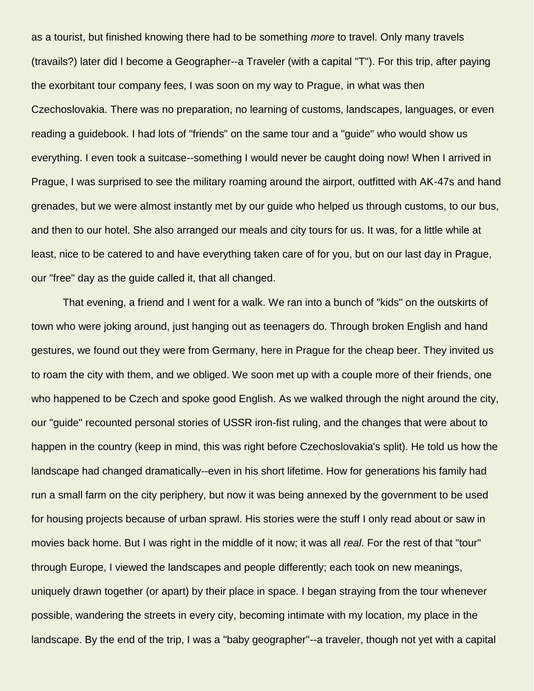as a tourist, but finished knowing there had to be something *more* to travel. Only many travels (travails?) later did I become a Geographer--a Traveler (with a capital "T"). For this trip, after paying the exorbitant tour company fees, I was soon on my way to Prague, in what was then Czechoslovakia. There was no preparation, no learning of customs, landscapes, languages, or even reading a guidebook. I had lots of "friends" on the same tour and a "guide" who would show us everything. I even took a suitcase--something I would never be caught doing now! When I arrived in Prague, I was surprised to see the military roaming around the airport, outfitted with AK-47s and hand grenades, but we were almost instantly met by our guide who helped us through customs, to our bus, and then to our hotel. She also arranged our meals and city tours for us. It was, for a little while at least, nice to be catered to and have everything taken care of for you, but on our last day in Prague, our "free" day as the guide called it, that all changed.

That evening, a friend and I went for a walk. We ran into a bunch of "kids" on the outskirts of town who were joking around, just hanging out as teenagers do. Through broken English and hand gestures, we found out they were from Germany, here in Prague for the cheap beer. They invited us to roam the city with them, and we obliged. We soon met up with a couple more of their friends, one who happened to be Czech and spoke good English. As we walked through the night around the city, our "guide" recounted personal stories of USSR iron-fist ruling, and the changes that were about to happen in the country (keep in mind, this was right before Czechoslovakia's split). He told us how the landscape had changed dramatically--even in his short lifetime. How for generations his family had run a small farm on the city periphery, but now it was being annexed by the government to be used for housing projects because of urban sprawl. His stories were the stuff I only read about or saw in movies back home. But I was right in the middle of it now; it was all *real*. For the rest of that "tour" through Europe, I viewed the landscapes and people differently; each took on new meanings, uniquely drawn together (or apart) by their place in space. I began straying from the tour whenever possible, wandering the streets in every city, becoming intimate with my location, my place in the landscape. By the end of the trip, I was a "baby geographer"--a traveler, though not yet with a capital